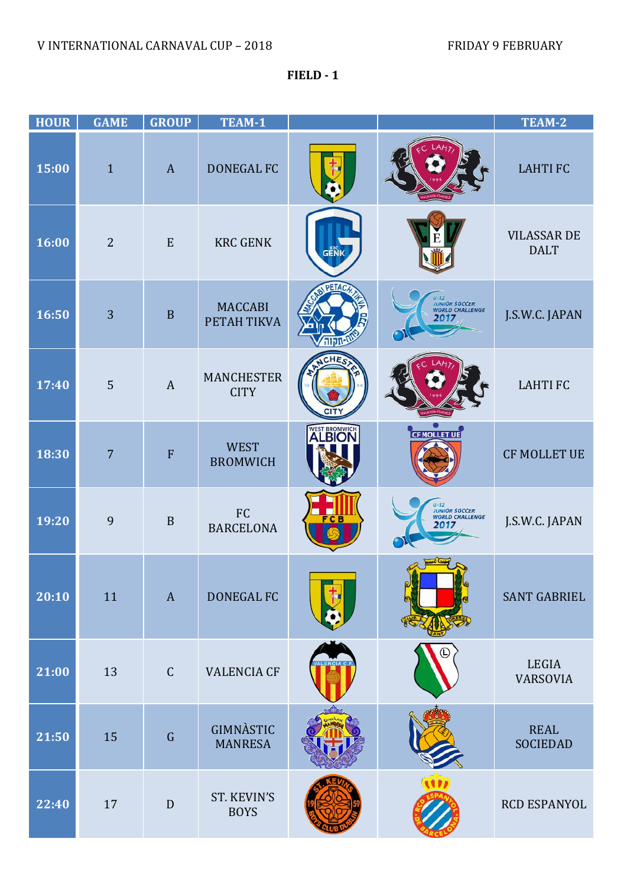**FIELD - 1**

| <b>HOUR</b> | <b>GAME</b>    | <b>GROUP</b>   | TEAM-1                             |               |                                                             | TEAM-2                            |
|-------------|----------------|----------------|------------------------------------|---------------|-------------------------------------------------------------|-----------------------------------|
| 15:00       | $\mathbf{1}$   | $\mathbf{A}$   | <b>DONEGAL FC</b>                  |               |                                                             | <b>LAHTIFC</b>                    |
| 16:00       | $\overline{2}$ | E              | <b>KRC GENK</b>                    | <b>GENK</b>   |                                                             | <b>VILASSAR DE</b><br><b>DALT</b> |
| 16:50       | 3              | $\mathbf B$    | <b>MACCABI</b><br>PETAH TIKVA      |               | U-12<br>JUNIOR SOCCER<br>WORLD CHALLENGE<br>2017            | J.S.W.C. JAPAN                    |
| 17:40       | 5              | $\overline{A}$ | <b>MANCHESTER</b><br><b>CITY</b>   |               |                                                             | <b>LAHTIFC</b>                    |
| 18:30       | $\overline{7}$ | ${\bf F}$      | <b>WEST</b><br><b>BROMWICH</b>     | <b>ALBION</b> | <b>CEMOLLET UE</b>                                          | <b>CF MOLLET UE</b>               |
| 19:20       | 9              | $\mathbf B$    | FC<br><b>BARCELONA</b>             |               | $U - 12$<br><b>JUNIOR SOCCER</b><br>WORLD CHALLENGE<br>2017 | J.S.W.C. JAPAN                    |
| 20:10       | 11             | $\mathbf{A}$   | DONEGAL FC                         |               |                                                             | <b>SANT GABRIEL</b>               |
| 21:00       | 13             | $\mathsf C$    | <b>VALENCIA CF</b>                 |               |                                                             | LEGIA<br><b>VARSOVIA</b>          |
| 21:50       | 15             | $\mathsf G$    | <b>GIMNÀSTIC</b><br><b>MANRESA</b> |               |                                                             | <b>REAL</b><br><b>SOCIEDAD</b>    |
| 22:40       | 17             | $\mathbf D$    | ST. KEVIN'S<br><b>BOYS</b>         |               |                                                             | RCD ESPANYOL                      |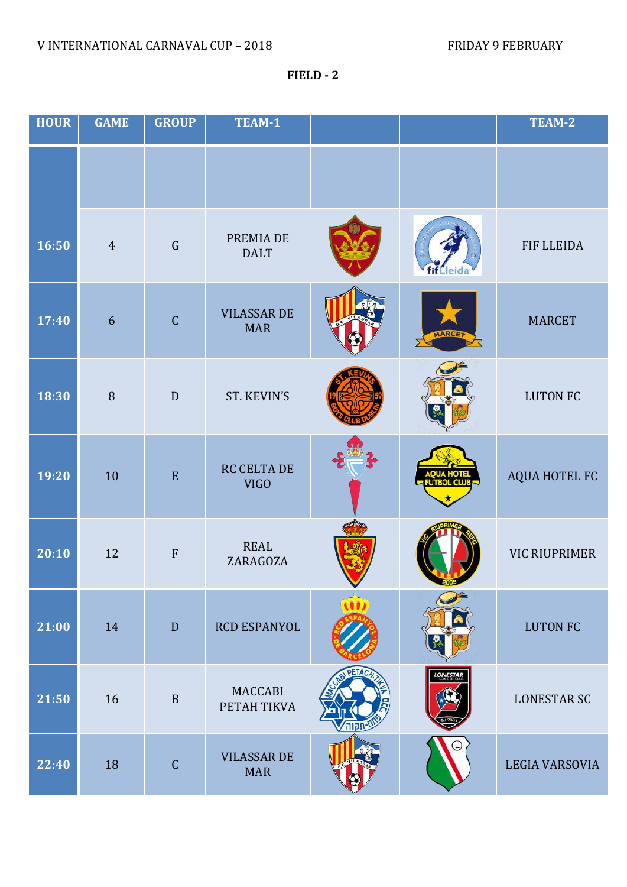**FIELD - 2**

| <b>HOUR</b> | <b>GAME</b>    | <b>GROUP</b>  | TEAM-1                           |                 | TEAM-2                |
|-------------|----------------|---------------|----------------------------------|-----------------|-----------------------|
|             |                |               |                                  |                 |                       |
| 16:50       | $\overline{4}$ | $\mathsf G$   | PREMIA DE<br><b>DALT</b>         |                 | FIF LLEIDA            |
| 17:40       | 6              | $\mathsf C$   | <b>VILASSAR DE</b><br><b>MAR</b> | <b>ARCI</b>     | <b>MARCET</b>         |
| 18:30       | $\, 8$         | D             | ST. KEVIN'S                      |                 | <b>LUTON FC</b>       |
| 19:20       | 10             | E             | RC CELTA DE<br><b>VIGO</b>       | <b>HOT</b>      | AQUA HOTEL FC         |
| 20:10       | 12             | $\rm F$       | <b>REAL</b><br>ZARAGOZA          |                 | <b>VIC RIUPRIMER</b>  |
| 21:00       | 14             | D             | <b>RCD ESPANYOL</b>              |                 | <b>LUTON FC</b>       |
| 21:50       | 16             | $\, {\bf B}$  | MACCABI<br>PETAH TIKVA           | <b>LONESTAR</b> | <b>LONESTAR SC</b>    |
| 22:40       | 18             | $\mathcal{C}$ | <b>VILASSAR DE</b><br><b>MAR</b> | (L              | <b>LEGIA VARSOVIA</b> |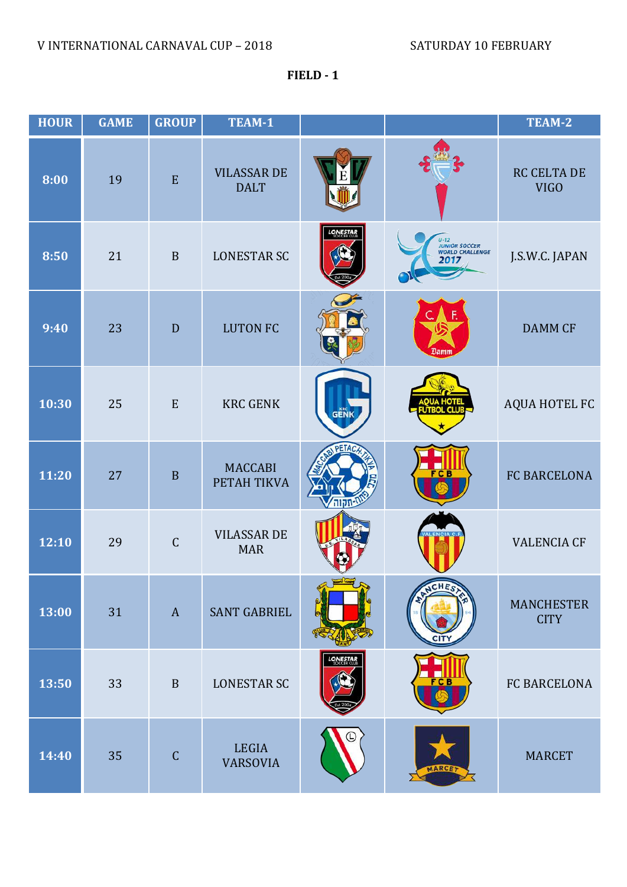**FIELD - 1**

| <b>HOUR</b> | <b>GAME</b> | <b>GROUP</b> | TEAM-1                            |                 |                                                  | TEAM-2                           |
|-------------|-------------|--------------|-----------------------------------|-----------------|--------------------------------------------------|----------------------------------|
| 8:00        | 19          | E            | <b>VILASSAR DE</b><br><b>DALT</b> |                 |                                                  | RC CELTA DE<br><b>VIGO</b>       |
| 8:50        | 21          | $\mathbf B$  | <b>LONESTAR SC</b>                | <b>LONESTAR</b> | U-12<br>JUNIOR SOCCER<br>WORLD CHALLENGE<br>2017 | J.S.W.C. JAPAN                   |
| 9:40        | 23          | D            | <b>LUTON FC</b>                   |                 | Damm                                             | <b>DAMM CF</b>                   |
| 10:30       | 25          | ${\bf E}$    | <b>KRC GENK</b>                   | GENK            | нот                                              | AQUA HOTEL FC                    |
| 11:20       | 27          | $\, {\bf B}$ | <b>MACCABI</b><br>PETAH TIKVA     |                 |                                                  | FC BARCELONA                     |
| 12:10       | 29          | $\mathsf{C}$ | <b>VILASSAR DE</b><br><b>MAR</b>  |                 |                                                  | <b>VALENCIA CF</b>               |
| 13:00       | 31          | $\mathbf{A}$ | <b>SANT GABRIEL</b>               |                 |                                                  | <b>MANCHESTER</b><br><b>CITY</b> |
| 13:50       | 33          | $\mathbf B$  | <b>LONESTAR SC</b>                | <b>LONESTAR</b> | FCB                                              | FC BARCELONA                     |
| 14:40       | 35          | $\mathsf{C}$ | <b>LEGIA</b><br><b>VARSOVIA</b>   |                 | <b>MARCE</b>                                     | <b>MARCET</b>                    |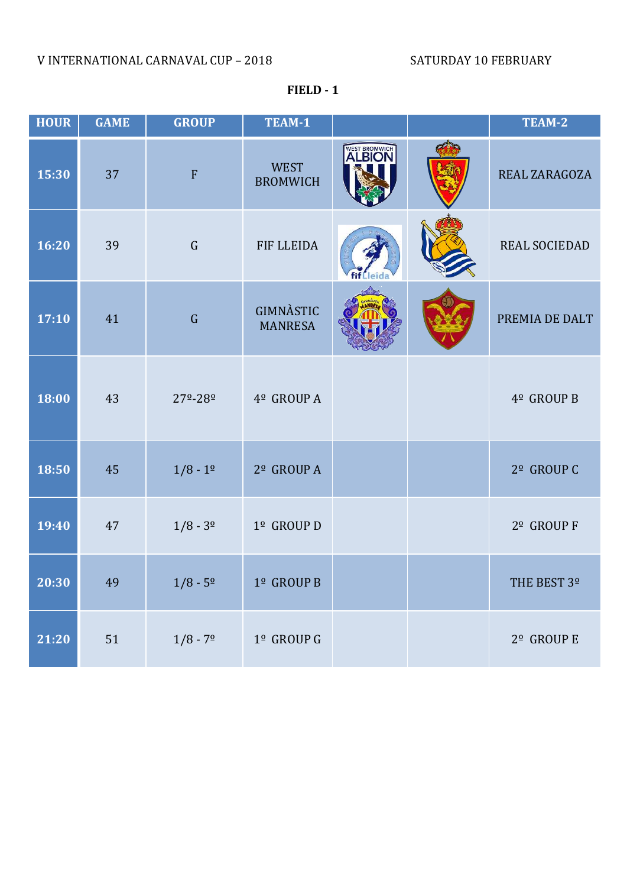## V INTERNATIONAL CARNAVAL CUP – 2018 SATURDAY 10 FEBRUARY

| <b>HOUR</b> | <b>GAME</b> | <b>GROUP</b>              | TEAM-1                         |               | TEAM-2                 |
|-------------|-------------|---------------------------|--------------------------------|---------------|------------------------|
| 15:30       | 37          | $\mathbf{F}$              | <b>WEST</b><br><b>BROMWICH</b> | <b>ALBION</b> | REAL ZARAGOZA          |
| 16:20       | 39          | $\mathsf G$               | FIF LLEIDA                     |               | REAL SOCIEDAD          |
| 17:10       | 41          | $\mathsf G$               | GIMNÀSTIC<br><b>MANRESA</b>    |               | PREMIA DE DALT         |
| 18:00       | 43          | $27^{\circ} - 28^{\circ}$ | 4º GROUP A                     |               | 4º GROUP B             |
| 18:50       | 45          | $1/8 - 1^{\circ}$         | 2º GROUP A                     |               | 2 <sup>°</sup> GROUP C |
| 19:40       | 47          | $1/8 - 3^{\circ}$         | 1º GROUP D                     |               | 2 <sup>°</sup> GROUP F |
| 20:30       | 49          | $1/8 - 5^{\circ}$         | $1^{\circ}$ GROUP B            |               | THE BEST 3º            |
| 21:20       | 51          | $1/8 - 79$                | $1^{\circ}$ GROUP G            |               | $2^{\circ}$ GROUP E    |

**FIELD - 1**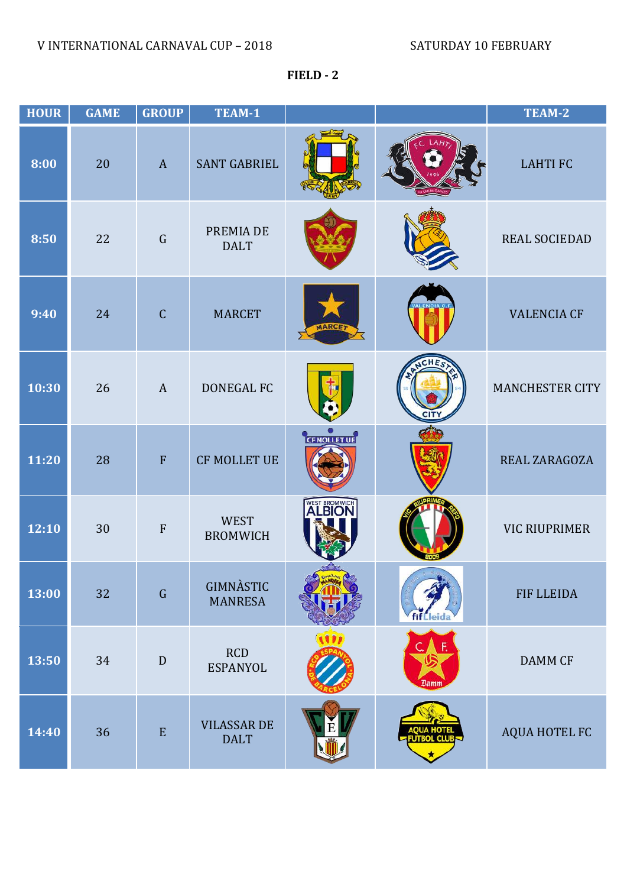**FIELD - 2**

| <b>HOUR</b> | <b>GAME</b> | <b>GROUP</b>              | TEAM-1                            |                    |      | TEAM-2                 |
|-------------|-------------|---------------------------|-----------------------------------|--------------------|------|------------------------|
| 8:00        | 20          | $\mathbf{A}$              | <b>SANT GABRIEL</b>               |                    |      | <b>LAHTIFC</b>         |
| 8:50        | 22          | $\mathsf G$               | PREMIA DE<br><b>DALT</b>          |                    |      | REAL SOCIEDAD          |
| 9:40        | 24          | $\mathsf C$               | <b>MARCET</b>                     |                    |      | <b>VALENCIA CF</b>     |
| 10:30       | 26          | $\mathbf{A}$              | <b>DONEGAL FC</b>                 |                    |      | <b>MANCHESTER CITY</b> |
| 11:20       | 28          | F                         | <b>CF MOLLET UE</b>               | <b>CFMOLLET UE</b> |      | REAL ZARAGOZA          |
| 12:10       | 30          | $\boldsymbol{\mathrm{F}}$ | <b>WEST</b><br><b>BROMWICH</b>    | WEST BROMWICH      |      | <b>VIC RIUPRIMER</b>   |
| 13:00       | 32          | $\mathsf G$               | GIMNÀSTIC<br><b>MANRESA</b>       |                    |      | <b>FIF LLEIDA</b>      |
| 13:50       | 34          | ${\bf D}$                 | RCD<br><b>ESPANYOL</b>            |                    | Damm | DAMM CF                |
| 14:40       | 36          | ${\bf E}$                 | <b>VILASSAR DE</b><br><b>DALT</b> |                    |      | AQUA HOTEL FC          |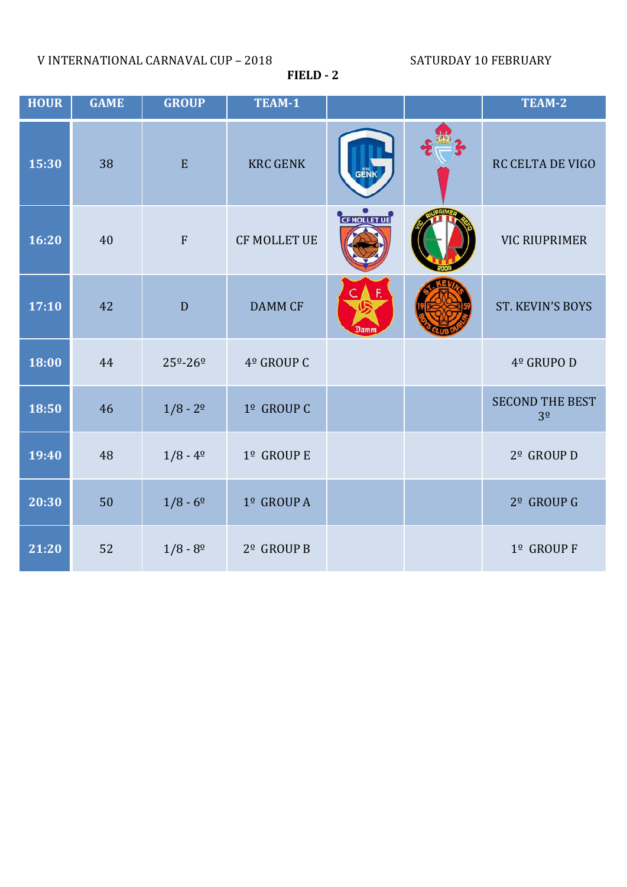V INTERNATIONAL CARNAVAL CUP – 2018 SATURDAY 10 FEBRUARY

**FIELD - 2**

| <b>HOUR</b> | <b>GAME</b> | <b>GROUP</b>              | TEAM-1                 |              | TEAM-2                                   |
|-------------|-------------|---------------------------|------------------------|--------------|------------------------------------------|
| 15:30       | 38          | $\mathbf E$               | <b>KRC GENK</b>        | <b>GENK</b>  | <b>RC CELTA DE VIGO</b>                  |
| 16:20       | 40          | ${\bf F}$                 | <b>CF MOLLET UE</b>    | CF NOLLET UE | <b>VIC RIUPRIMER</b>                     |
| 17:10       | 42          | $\mathbf D$               | <b>DAMM CF</b>         | Damm         | ST. KEVIN'S BOYS                         |
| 18:00       | 44          | $25^{\circ} - 26^{\circ}$ | 4º GROUP C             |              | 4º GRUPO D                               |
| 18:50       | 46          | $1/8 - 2^{\circ}$         | 1º GROUP C             |              | <b>SECOND THE BEST</b><br>3 <sup>0</sup> |
| 19:40       | 48          | $1/8 - 4^{\circ}$         | 1º GROUP E             |              | 2º GROUP D                               |
| 20:30       | 50          | $1/8 - 6^{\circ}$         | 1º GROUP A             |              | 2 <sup>°</sup> GROUP G                   |
| 21:20       | 52          | $1/8 - 8^{\circ}$         | 2 <sup>°</sup> GROUP B |              | 1º GROUP F                               |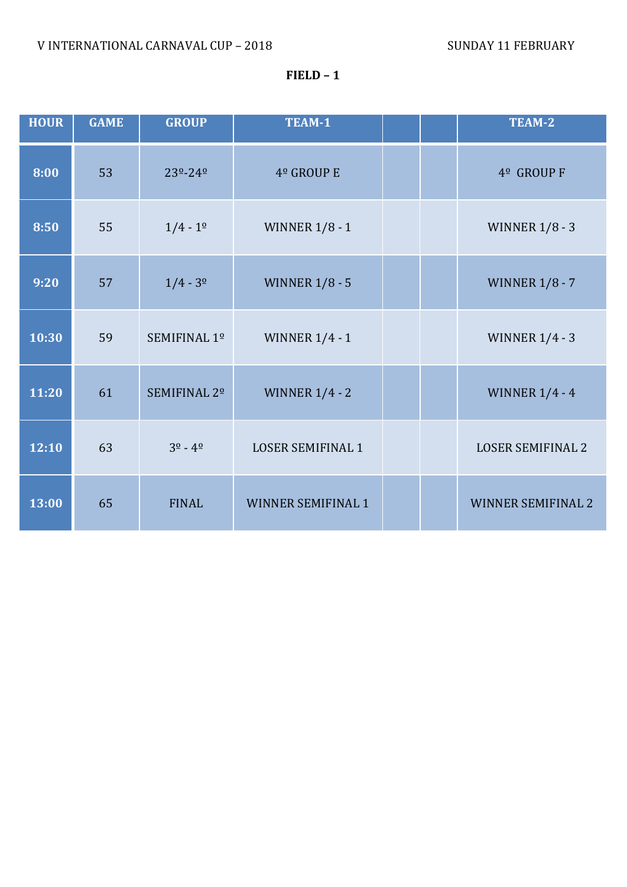## **FIELD – 1**

| <b>HOUR</b> | <b>GAME</b> | <b>GROUP</b>            | TEAM-1                    |  | TEAM-2                    |
|-------------|-------------|-------------------------|---------------------------|--|---------------------------|
| 8:00        | 53          | 23º-24º                 | 4º GROUP E                |  | 4 <sup>°</sup> GROUP F    |
| 8:50        | 55          | $1/4 - 1^{\circ}$       | <b>WINNER 1/8 - 1</b>     |  | <b>WINNER 1/8 - 3</b>     |
| 9:20        | 57          | $1/4 - 3^{\circ}$       | <b>WINNER 1/8 - 5</b>     |  | <b>WINNER 1/8 - 7</b>     |
| 10:30       | 59          | SEMIFINAL 1º            | <b>WINNER 1/4 - 1</b>     |  | <b>WINNER 1/4 - 3</b>     |
| 11:20       | 61          | SEMIFINAL 2º            | <b>WINNER 1/4 - 2</b>     |  | <b>WINNER 1/4 - 4</b>     |
| 12:10       | 63          | $3^{\circ} - 4^{\circ}$ | <b>LOSER SEMIFINAL 1</b>  |  | <b>LOSER SEMIFINAL 2</b>  |
| 13:00       | 65          | <b>FINAL</b>            | <b>WINNER SEMIFINAL 1</b> |  | <b>WINNER SEMIFINAL 2</b> |